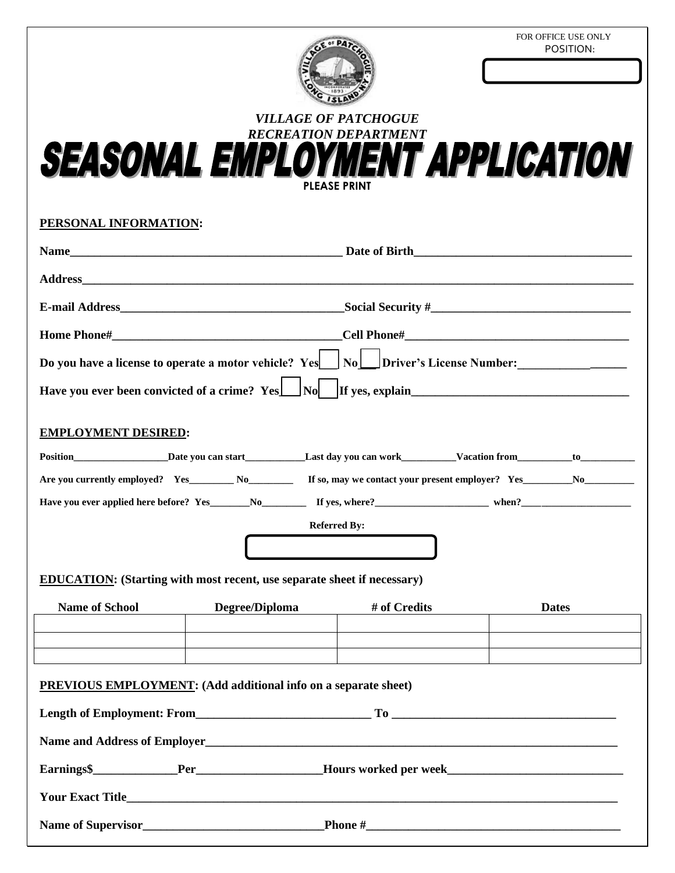FOR OFFICE USE ONLY<br>POSITION:



*RECREATION DEPARTMENT* 

| PERSONAL INFORMATION:      |                                                                                                                                                                                                                                |                     |              |
|----------------------------|--------------------------------------------------------------------------------------------------------------------------------------------------------------------------------------------------------------------------------|---------------------|--------------|
|                            |                                                                                                                                                                                                                                |                     |              |
|                            |                                                                                                                                                                                                                                |                     |              |
|                            |                                                                                                                                                                                                                                |                     |              |
|                            |                                                                                                                                                                                                                                |                     |              |
|                            | Do you have a license to operate a motor vehicle? $Yes \cup No \cup Driver's License Number:$                                                                                                                                  |                     |              |
|                            |                                                                                                                                                                                                                                |                     |              |
| <b>EMPLOYMENT DESIRED:</b> |                                                                                                                                                                                                                                |                     |              |
|                            |                                                                                                                                                                                                                                |                     |              |
|                            | Are you currently employed? Yes No No K and N and N and N and N and N and N and N and N and N and N and N and N and N and N and N and N and N and N and N and N and N and N and N and N and N and N and N and N and N and N an |                     |              |
|                            |                                                                                                                                                                                                                                |                     |              |
|                            |                                                                                                                                                                                                                                | <b>Referred By:</b> |              |
|                            |                                                                                                                                                                                                                                |                     |              |
|                            | EDUCATION: (Starting with most recent, use separate sheet if necessary)                                                                                                                                                        |                     |              |
| <b>Name of School</b>      | Degree/Diploma                                                                                                                                                                                                                 | # of Credits        | <b>Dates</b> |
|                            |                                                                                                                                                                                                                                |                     |              |
|                            | <b>PREVIOUS EMPLOYMENT:</b> (Add additional info on a separate sheet)                                                                                                                                                          |                     |              |
|                            |                                                                                                                                                                                                                                |                     |              |
|                            |                                                                                                                                                                                                                                |                     |              |
|                            |                                                                                                                                                                                                                                |                     |              |
|                            |                                                                                                                                                                                                                                |                     |              |
|                            |                                                                                                                                                                                                                                |                     |              |
|                            |                                                                                                                                                                                                                                |                     |              |